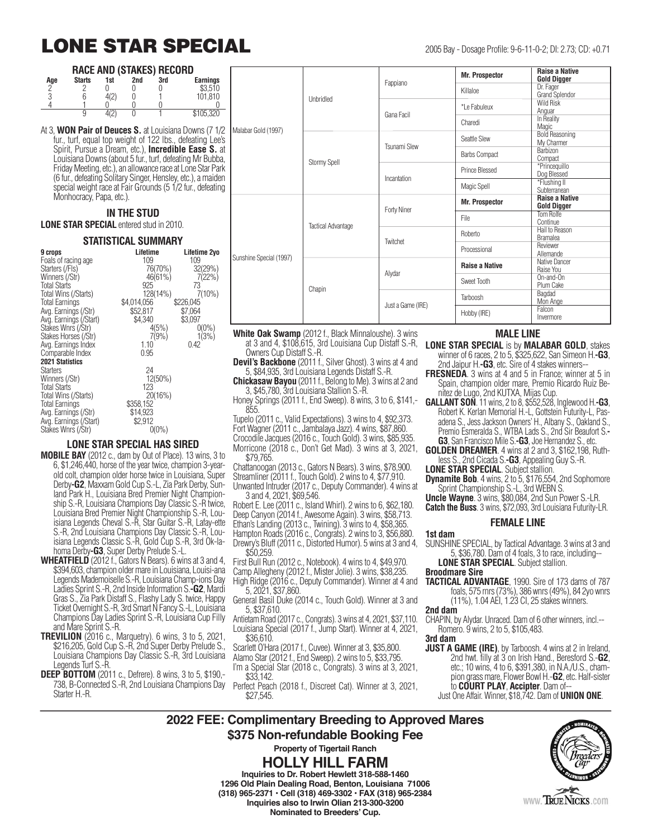# **LONE STAR SPECIAL** 2005 Bay - Dosage Profile: 9-6-11-0-2; DI: 2.73; CD: +0.71

#### **RACE AND (STAKES) RECORD**

| Age | <b>Starts</b> | <br>1st    | 2nd | 3rd | <b>Earnings</b> |
|-----|---------------|------------|-----|-----|-----------------|
|     |               |            |     |     | \$3,510         |
| U   |               | $\sqrt{2}$ |     |     | 101,810         |
|     |               |            |     |     |                 |
|     |               |            |     |     | \$105,320       |

At 3, **WON Pair of Deuces S.** at Louisiana Downs (7 1/2 fur., turf, equal top weight of 122 lbs., defeating Lee's Spirit, Pursue a Dream, etc.), **Incredible Ease S.** at Louisiana Downs (about 5 fur., turf, defeating Mr Bubba, Friday Meeting, etc.), an allowance race at Lone Star Park (6 fur., defeating Solitary Singer, Hensley, etc.), a maiden special weight race at Fair Grounds (5 1/2 fur., defeating Monhocracy, Papa, etc.).

## **IN THE STUD**

**LONE STAR SPECIAL** entered stud in 2010.

### **STATISTICAL SUMMARY**

| 9 crops                | Lifetime    | Lifetime 2yo |
|------------------------|-------------|--------------|
| Foals of racing age    | 109         | 109          |
| Starters (/Fls)        | 76(70%)     | 32(29%)      |
| Winners (/Str)         | $46(61\%)$  | 7(22%)       |
| <b>Total Starts</b>    | 925         | 73           |
| Total Wins (/Starts)   | 128(14%)    | 7(10%)       |
| <b>Total Earnings</b>  | \$4,014,056 | \$226,045    |
| Avg. Earnings (/Str)   | \$52,817    | \$7,064      |
| Avg. Earnings (/Start) | \$4,340     | \$3,097      |
| Stakes Wnrs (/Str)     | 4(5%)       | $0(0\%)$     |
| Stakes Horses (/Str)   | 7(9%)       | 1(3%)        |
| Avg. Earnings Index    | 1.10        | 0.42         |
| Comparable Index       | 0.95        |              |
|                        |             |              |
| <b>2021 Statistics</b> |             |              |
| <b>Starters</b>        | 24          |              |
| Winners (/Str)         | 12(50%)     |              |
| <b>Total Starts</b>    | 123         |              |
| Total Wins (/Starts)   | 20(16%)     |              |
| <b>Total Earnings</b>  | \$358,152   |              |
| Avg. Earnings (/Str)   | \$14,923    |              |
| Avg. Earnings (/Start) | \$2,912     |              |
| Stakes Wnrs (/Str)     | $0(0\%)$    |              |
|                        |             |              |

### **LONE STAR SPECIAL HAS SIRED**

- **MOBILE BAY** (2012 c., dam by Out of Place). 13 wins, 3 to 6, \$1,246,440, horse of the year twice, champion 3-yearold colt, champion older horse twice in Louisiana, Super Derby**-G2**, Maxxam Gold Cup S.-L, Zia Park Derby, Sunland Park H., Louisiana Bred Premier Night Championship S.-R, Louisiana Champions Day Classic S.-R twice, Louisiana Bred Premier Night Championship S.-R, Louisiana Legends Cheval S.-R, Star Guitar S.-R, Lafay-ette S.-R, 2nd Louisiana Champions Day Classic S.-R, Louisiana Legends Classic S.-R, Gold Cup S.-R, 3rd Ok-lahoma Derby**-G3**, Super Derby Prelude S.-L.
- **WHEATFIELD** (2012 f., Gators N Bears). 6 wins at 3 and 4, \$394,603, champion older mare in Louisiana, Louisi-ana Legends Mademoiselle S.-R, Louisiana Champ-ions Day Ladies Sprint S.-R, 2nd Inside Information S.**-G2**, Mardi Gras S., Zia Park Distaff S., Flashy Lady S. twice, Happy Ticket Overnight S.-R, 3rd Smart N Fancy S.-L, Louisiana Champions Day Ladies Sprint S.-R, Louisiana Cup Filly and Mare Sprint S.-R.
- **TREVILION** (2016 c., Marquetry). 6 wins, 3 to 5, 2021, \$216,205, Gold Cup S.-R, 2nd Super Derby Prelude S., Louisiana Champions Day Classic S.-R, 3rd Louisiana Legends Turf S.-R.
- **DEEP BOTTOM** (2011 c., Defrere). 8 wins, 3 to 5, \$190,- 738, B-Connected S.-R, 2nd Louisiana Champions Day Starter H.-R.

|                                   | Unbridled                 | Fappiano          | <b>Mr. Prospector</b> | <b>Raise a Native</b><br><b>Gold Digger</b> |
|-----------------------------------|---------------------------|-------------------|-----------------------|---------------------------------------------|
|                                   |                           |                   | Killaloe              | Dr. Fager<br>Grand Splendor                 |
| Gana Facil<br>Malabar Gold (1997) |                           |                   | *Le Fabuleux          | <b>Wild Risk</b><br>Anguar                  |
|                                   |                           | Charedi           | In Reality<br>Magic   |                                             |
|                                   | Stormy Spell              | Tsunami Slew      | Seattle Slew          | <b>Bold Reasoning</b><br>My Charmer         |
|                                   |                           |                   | <b>Barbs Compact</b>  | <b>Barbizon</b><br>Compact                  |
|                                   |                           | Incantation       | Prince Blessed        | *Princeguillo<br>Dog Blessed                |
|                                   |                           |                   | Magic Spell           | *Flushing II<br>Subterranean                |
|                                   | <b>Tactical Advantage</b> | Forty Niner       | <b>Mr. Prospector</b> | <b>Raise a Native</b><br><b>Gold Digger</b> |
|                                   |                           |                   | File                  | Tom Rolfe<br>Continue                       |
|                                   |                           | Twitchet          | Roberto               | Hail to Reason<br><b>Bramalea</b>           |
| Sunshine Special (1997)           |                           |                   | Processional          | Reviewer<br>Allemande                       |
|                                   | Chapin                    | Alydar            | <b>Raise a Native</b> | Native Dancer<br>Raise You                  |
|                                   |                           |                   | Sweet Tooth           | On-and-On<br>Plum Cake                      |
|                                   |                           | Just a Game (IRE) | Tarboosh              | Bagdad<br>Mon Ange                          |
|                                   |                           |                   | Hobby (IRE)           | Falcon<br>Invermore                         |

**White Oak Swamp** (2012 f., Black Minnaloushe). 3 wins at 3 and 4, \$108,615, 3rd Louisiana Cup Distaff S.-R, Owners Cup Distaff S.-R.

**Devil's Backbone** (2011 f., Silver Ghost). 3 wins at 4 and 5, \$84,935, 3rd Louisiana Legends Distaff S.-R.

**Chickasaw Bayou** (2011 f., Belong to Me). 3 wins at 2 and 3, \$45,780, 3rd Louisiana Stallion S.-R.

Honey Springs (2011 f., End Sweep). 8 wins, 3 to 6, \$141,- 855.

Tupelo (2011 c., Valid Expectations). 3 wins to 4, \$92,373. Fort Wagner (2011 c., Jambalaya Jazz). 4 wins, \$87,860. Crocodile Jacques (2016 c., Touch Gold). 3 wins, \$85,935. Morricone (2018 c., Don't Get Mad). 3 wins at 3, 2021, \$79,765.

Chattanoogan (2013 c., Gators N Bears). 3 wins, \$78,900. Streamliner (2011 f., Touch Gold). 2 wins to 4, \$77,910. Unwanted Intruder (2017 c., Deputy Commander). 4 wins at

3 and 4, 2021, \$69,546. Robert E. Lee (2011 c., Island Whirl). 2 wins to 6, \$62,180. Deep Canyon (2014 f., Awesome Again). 3 wins, \$58,713. Ethan's Landing (2013 c., Twining). 3 wins to 4, \$58,365. Hampton Roads (2016 c., Congrats). 2 wins to 3, \$56,880. Drewry's Bluff (2011 c., Distorted Humor). 5 wins at 3 and 4,

\$50,259.

First Bull Run (2012 c., Notebook). 4 wins to 4, \$49,970. Camp Allegheny (2012 f., Mister Jolie). 3 wins, \$38,235.

High Ridge (2016 c., Deputy Commander). Winner at 4 and 5, 2021, \$37,860.

General Basil Duke (2014 c., Touch Gold). Winner at 3 and 5, \$37,610.

Antietam Road (2017 c., Congrats). 3 wins at 4, 2021, \$37,110. Louisiana Special (2017 f., Jump Start). Winner at 4, 2021, \$36,610.

- Scarlett O'Hara (2017 f., Cuvee). Winner at 3, \$35,800.
- Alamo Star (2012 f., End Sweep). 2 wins to 5, \$33,795.
- I'm a Special Star (2018 c., Congrats). 3 wins at 3, 2021, \$33,142.

Perfect Peach (2018 f., Discreet Cat). Winner at 3, 2021, \$27,545.

### **MALE LINE**

**LONE STAR SPECIAL** is by **MALABAR GOLD**, stakes winner of 6 races, 2 to 5, \$325,622, San Simeon H.**-G3**, 2nd Jaipur H.**-G3**, etc. Sire of 4 stakes winners--

- **FRESNEDA.** 3 wins at 4 and 5 in France; winner at 5 in Spain, champion older mare, Premio Ricardo Ruiz Benitez de Lugo, 2nd KUTXA, Mijas Cup.
- **GALLANT SON**. 11 wins, 2 to 8, \$552,528, Inglewood H.**-G3**, Robert K. Kerlan Memorial H.-L, Gottstein Futurity-L, Pasadena S., Jess Jackson Owners' H., Albany S., Oakland S., Premio Esmeralda S., WTBA Lads S., 2nd Sir Beaufort S.**- G3**, San Francisco Mile S.**-G3**, Joe Hernandez S., etc.
- **GOLDEN DREAMER**. 4 wins at 2 and 3, \$162,198, Ruthless S., 2nd Cicada S.**-G3**, Appealing Guy S.-R.
- **LONE STAR SPECIAL**. Subject stallion.

**Dynamite Bob**. 4 wins, 2 to 5, \$176,554, 2nd Sophomore Sprint Championship S.-L, 3rd WEBN S.

**Uncle Wayne**. 3 wins, \$80,084, 2nd Sun Power S.-LR. **Catch the Buss**. 3 wins, \$72,093, 3rd Louisiana Futurity-LR.

#### **FEMALE LINE**

**1st dam** SUNSHINE SPECIAL, by Tactical Advantage. 3 wins at 3 and 5, \$36,780. Dam of 4 foals, 3 to race, including--

**LONE STAR SPECIAL**. Subject stallion.

- **Broodmare Sire**
- **TACTICAL ADVANTAGE**, 1990. Sire of 173 dams of 787 foals, 575 rnrs (73%), 386 wnrs (49%), 84 2yo wnrs (11%), 1.04 AEI, 1.23 CI, 25 stakes winners.

**2nd dam**

CHAPIN, by Alydar. Unraced. Dam of 6 other winners, incl.-- Romero. 9 wins, 2 to 5, \$105,483.

**3rd dam**

**JUST A GAME (IRE)**, by Tarboosh. 4 wins at 2 in Ireland, 2nd hwt. filly at 3 on Irish Hand., Beresford S.-**G2**, etc.; 10 wins, 4 to 6, \$391,380, in N.A./U.S., champion grass mare, Flower Bowl H.-**G2**, etc. Half-sister to **COURT PLAY**, **Accipter**. Dam of-- Just One Affair. Winner, \$18,742. Dam of **UNION ONE**.

**2022 FEE: Complimentary Breeding to Approved Mares \$375 Non-refundable Booking Fee Property of Tigertail Ranch**

> **HOLLY HILL FARM Inquiries to Dr. Robert Hewlett 318-588-1460 1296 Old Plain Dealing Road, Benton, Louisiana 71006 (318) 965-2371 • Cell (318) 469-3302 • FAX (318) 965-2384 Inquiries also to Irwin Olian 213-300-3200 Nominated to Breeders' Cup.**